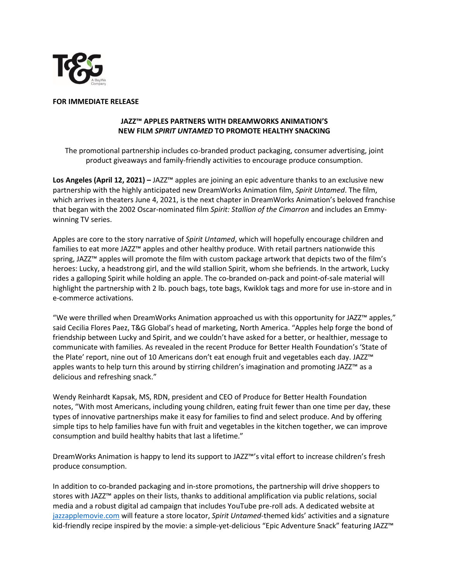

## **FOR IMMEDIATE RELEASE**

## **JAZZ™ APPLES PARTNERS WITH DREAMWORKS ANIMATION'S NEW FILM** *SPIRIT UNTAMED* **TO PROMOTE HEALTHY SNACKING**

The promotional partnership includes co-branded product packaging, consumer advertising, joint product giveaways and family-friendly activities to encourage produce consumption.

**Los Angeles (April 12, 2021) –** JAZZ™ apples are joining an epic adventure thanks to an exclusive new partnership with the highly anticipated new DreamWorks Animation film, *Spirit Untamed*. The film, which arrives in theaters June 4, 2021, is the next chapter in DreamWorks Animation's beloved franchise that began with the 2002 Oscar-nominated film *Spirit: Stallion of the Cimarron* and includes an Emmywinning TV series.

Apples are core to the story narrative of *Spirit Untamed*, which will hopefully encourage children and families to eat more JAZZ™ apples and other healthy produce. With retail partners nationwide this spring, JAZZ<sup>™</sup> apples will promote the film with custom package artwork that depicts two of the film's heroes: Lucky, a headstrong girl, and the wild stallion Spirit, whom she befriends. In the artwork, Lucky rides a galloping Spirit while holding an apple. The co-branded on-pack and point-of-sale material will highlight the partnership with 2 lb. pouch bags, tote bags, Kwiklok tags and more for use in-store and in e-commerce activations.

"We were thrilled when DreamWorks Animation approached us with this opportunity for JAZZ™ apples," said Cecilia Flores Paez, T&G Global's head of marketing, North America. "Apples help forge the bond of friendship between Lucky and Spirit, and we couldn't have asked for a better, or healthier, message to communicate with families. As revealed in the recent Produce for Better Health Foundation's 'State of the Plate' report, nine out of 10 Americans don't eat enough fruit and vegetables each day. JAZZ™ apples wants to help turn this around by stirring children's imagination and promoting JAZZ™ as a delicious and refreshing snack."

Wendy Reinhardt Kapsak, MS, RDN, president and CEO of Produce for Better Health Foundation notes, "With most Americans, including young children, eating fruit fewer than one time per day, these types of innovative partnerships make it easy for families to find and select produce. And by offering simple tips to help families have fun with fruit and vegetables in the kitchen together, we can improve consumption and build healthy habits that last a lifetime."

DreamWorks Animation is happy to lend its support to JAZZ™'s vital effort to increase children's fresh produce consumption.

In addition to co-branded packaging and in-store promotions, the partnership will drive shoppers to stores with JAZZ™ apples on their lists, thanks to additional amplification via public relations, social media and a robust digital ad campaign that includes YouTube pre-roll ads. A dedicated website at [jazzapplemovie.com](http://www.jazzapplemovie.com/) will feature a store locator, *Spirit Untamed*-themed kids' activities and a signature kid-friendly recipe inspired by the movie: a simple-yet-delicious "Epic Adventure Snack" featuring JAZZ™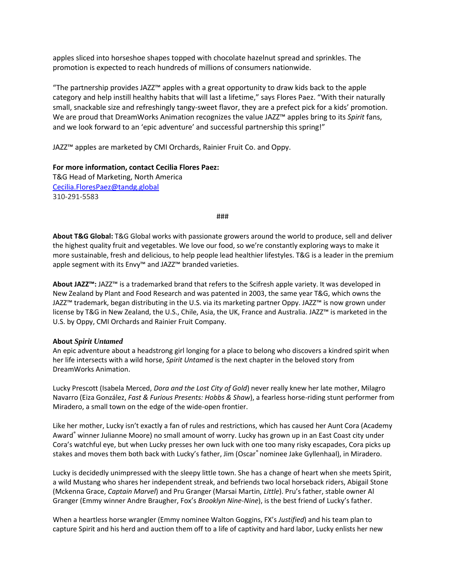apples sliced into horseshoe shapes topped with chocolate hazelnut spread and sprinkles. The promotion is expected to reach hundreds of millions of consumers nationwide.

"The partnership provides JAZZ™ apples with a great opportunity to draw kids back to the apple category and help instill healthy habits that will last a lifetime," says Flores Paez. "With their naturally small, snackable size and refreshingly tangy-sweet flavor, they are a prefect pick for a kids' promotion. We are proud that DreamWorks Animation recognizes the value JAZZ™ apples bring to its *Spirit* fans, and we look forward to an 'epic adventure' and successful partnership this spring!"

JAZZ™ apples are marketed by CMI Orchards, Rainier Fruit Co. and Oppy.

**For more information, contact Cecilia Flores Paez:**  T&G Head of Marketing, North America [Cecilia.FloresPaez@tandg.global](mailto:Cecilia.FloresPaez@tandg.global) 310-291-5583

###

**About T&G Global:** T&G Global works with passionate growers around the world to produce, sell and deliver the highest quality fruit and vegetables. We love our food, so we're constantly exploring ways to make it more sustainable, fresh and delicious, to help people lead healthier lifestyles. T&G is a leader in the premium apple segment with its Envy™ and JAZZ™ branded varieties.

**About JAZZ™:** JAZZ™ is a trademarked brand that refers to the Scifresh apple variety. It was developed in New Zealand by Plant and Food Research and was patented in 2003, the same year T&G, which owns the JAZZ™ trademark, began distributing in the U.S. via its marketing partner Oppy. JAZZ™ is now grown under license by T&G in New Zealand, the U.S., Chile, Asia, the UK, France and Australia. JAZZ™ is marketed in the U.S. by Oppy, CMI Orchards and Rainier Fruit Company.

## **About** *Spirit Untamed*

An epic adventure about a headstrong girl longing for a place to belong who discovers a kindred spirit when her life intersects with a wild horse, *Spirit Untamed* is the next chapter in the beloved story from DreamWorks Animation.

Lucky Prescott (Isabela Merced, *Dora and the Lost City of Gold*) never really knew her late mother, Milagro Navarro (Eiza González, *Fast & Furious Presents: Hobbs & Shaw*), a fearless horse-riding stunt performer from Miradero, a small town on the edge of the wide-open frontier.

Like her mother, Lucky isn't exactly a fan of rules and restrictions, which has caused her Aunt Cora (Academy Award® winner Julianne Moore) no small amount of worry. Lucky has grown up in an East Coast city under Cora's watchful eye, but when Lucky presses her own luck with one too many risky escapades, Cora picks up stakes and moves them both back with Lucky's father, Jim (Oscar® nominee Jake Gyllenhaal), in Miradero.

Lucky is decidedly unimpressed with the sleepy little town. She has a change of heart when she meets Spirit, a wild Mustang who shares her independent streak, and befriends two local horseback riders, Abigail Stone (Mckenna Grace, *Captain Marvel*) and Pru Granger (Marsai Martin, *Little*). Pru's father, stable owner Al Granger (Emmy winner Andre Braugher, Fox's *Brooklyn Nine-Nine*), is the best friend of Lucky's father.

When a heartless horse wrangler (Emmy nominee Walton Goggins, FX's *Justified*) and his team plan to capture Spirit and his herd and auction them off to a life of captivity and hard labor, Lucky enlists her new